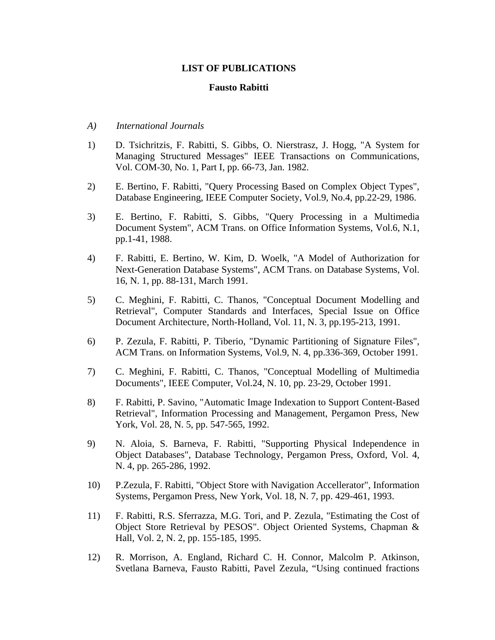## **LIST OF PUBLICATIONS**

### **Fausto Rabitti**

- *A) International Journals*
- 1) D. Tsichritzis, F. Rabitti, S. Gibbs, O. Nierstrasz, J. Hogg, "A System for Managing Structured Messages" IEEE Transactions on Communications, Vol. COM-30, No. 1, Part I, pp. 66-73, Jan. 1982.
- 2) E. Bertino, F. Rabitti, "Query Processing Based on Complex Object Types", Database Engineering, IEEE Computer Society, Vol.9, No.4, pp.22-29, 1986.
- 3) E. Bertino, F. Rabitti, S. Gibbs, "Query Processing in a Multimedia Document System", ACM Trans. on Office Information Systems, Vol.6, N.1, pp.1-41, 1988.
- 4) F. Rabitti, E. Bertino, W. Kim, D. Woelk, "A Model of Authorization for Next-Generation Database Systems", ACM Trans. on Database Systems, Vol. 16, N. 1, pp. 88-131, March 1991.
- 5) C. Meghini, F. Rabitti, C. Thanos, "Conceptual Document Modelling and Retrieval", Computer Standards and Interfaces, Special Issue on Office Document Architecture, North-Holland, Vol. 11, N. 3, pp.195-213, 1991.
- 6) P. Zezula, F. Rabitti, P. Tiberio, "Dynamic Partitioning of Signature Files", ACM Trans. on Information Systems, Vol.9, N. 4, pp.336-369, October 1991.
- 7) C. Meghini, F. Rabitti, C. Thanos, "Conceptual Modelling of Multimedia Documents", IEEE Computer, Vol.24, N. 10, pp. 23-29, October 1991.
- 8) F. Rabitti, P. Savino, "Automatic Image Indexation to Support Content-Based Retrieval", Information Processing and Management, Pergamon Press, New York, Vol. 28, N. 5, pp. 547-565, 1992.
- 9) N. Aloia, S. Barneva, F. Rabitti, "Supporting Physical Independence in Object Databases", Database Technology, Pergamon Press, Oxford, Vol. 4, N. 4, pp. 265-286, 1992.
- 10) P.Zezula, F. Rabitti, "Object Store with Navigation Accellerator", Information Systems, Pergamon Press, New York, Vol. 18, N. 7, pp. 429-461, 1993.
- 11) F. Rabitti, R.S. Sferrazza, M.G. Tori, and P. Zezula, "Estimating the Cost of Object Store Retrieval by PESOS". Object Oriented Systems, Chapman & Hall, Vol. 2, N. 2, pp. 155-185, 1995.
- 12) R. Morrison, A. England, Richard C. H. Connor, Malcolm P. Atkinson, Svetlana Barneva, Fausto Rabitti, Pavel Zezula, "Using continued fractions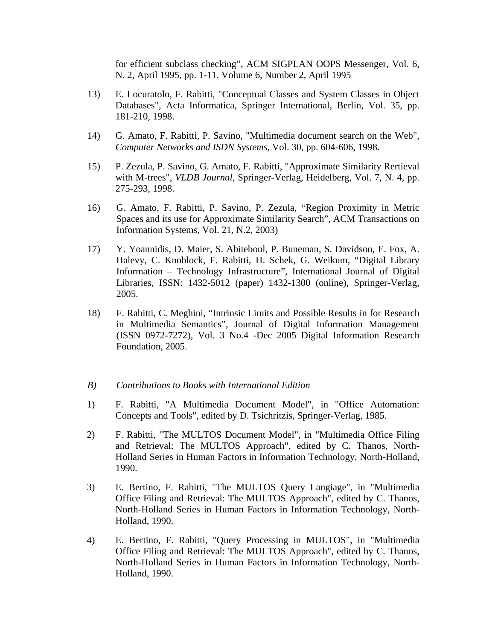for efficient subclass checking", ACM SIGPLAN OOPS Messenger, Vol. 6, N. 2, April 1995, pp. 1-11. Volume 6, Number 2, April 1995

- 13) E. Locuratolo, F. Rabitti, "Conceptual Classes and System Classes in Object Databases", Acta Informatica, Springer International, Berlin, Vol. 35, pp. 181-210, 1998.
- 14) G. Amato, F. Rabitti, P. Savino, "Multimedia document search on the Web", *Computer Networks and ISDN Systems,* Vol. 30, pp. 604-606, 1998.
- 15) P. Zezula, P. Savino, G. Amato, F. Rabitti, "Approximate Similarity Rertieval with M-trees", *VLDB Journal*, Springer-Verlag, Heidelberg*,* Vol. 7, N. 4, pp. 275-293, 1998.
- 16) G. Amato, F. Rabitti, P. Savino, P. Zezula, "Region Proximity in Metric Spaces and its use for Approximate Similarity Search", ACM Transactions on Information Systems, Vol. 21, N.2, 2003)
- 17) Y. Yoannidis, D. Maier, S. Abiteboul, P. Buneman, S. Davidson, E. Fox, A. Halevy, C. Knoblock, F. Rabitti, H. Schek, G. Weikum, "Digital Library Information – Technology Infrastructure", International Journal of Digital Libraries, ISSN: 1432-5012 (paper) 1432-1300 (online), Springer-Verlag, 2005.
- 18) F. Rabitti, C. Meghini, "Intrinsic Limits and Possible Results in for Research in Multimedia Semantics", Journal of Digital Information Management (ISSN 0972-7272), Vol. 3 No.4 -Dec 2005 Digital Information Research Foundation, 2005.
- *B) Contributions to Books with International Edition*
- 1) F. Rabitti, "A Multimedia Document Model", in "Office Automation: Concepts and Tools", edited by D. Tsichritzis, Springer-Verlag, 1985.
- 2) F. Rabitti, "The MULTOS Document Model", in "Multimedia Office Filing and Retrieval: The MULTOS Approach", edited by C. Thanos, North-Holland Series in Human Factors in Information Technology, North-Holland, 1990.
- 3) E. Bertino, F. Rabitti, "The MULTOS Query Langiage", in "Multimedia Office Filing and Retrieval: The MULTOS Approach", edited by C. Thanos, North-Holland Series in Human Factors in Information Technology, North-Holland, 1990.
- 4) E. Bertino, F. Rabitti, "Query Processing in MULTOS", in "Multimedia Office Filing and Retrieval: The MULTOS Approach", edited by C. Thanos, North-Holland Series in Human Factors in Information Technology, North-Holland, 1990.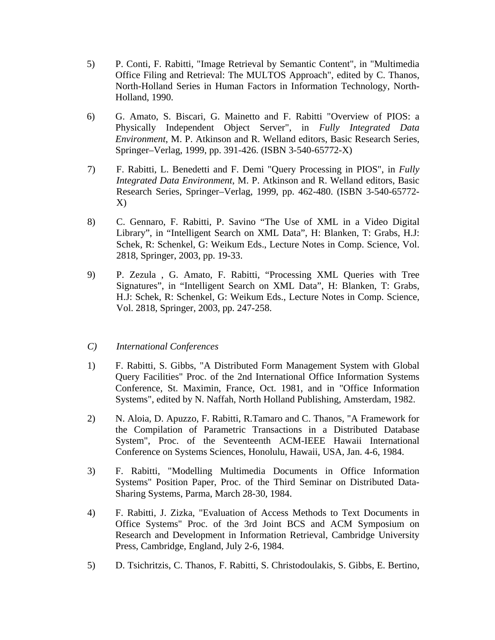- 5) P. Conti, F. Rabitti, "Image Retrieval by Semantic Content", in "Multimedia Office Filing and Retrieval: The MULTOS Approach", edited by C. Thanos, North-Holland Series in Human Factors in Information Technology, North-Holland, 1990.
- 6) G. Amato, S. Biscari, G. Mainetto and F. Rabitti "Overview of PIOS: a Physically Independent Object Server", in *Fully Integrated Data Environment*, M. P. Atkinson and R. Welland editors, Basic Research Series, Springer–Verlag, 1999, pp. 391-426. (ISBN 3-540-65772-X)
- 7) F. Rabitti, L. Benedetti and F. Demi "Query Processing in PIOS", in *Fully Integrated Data Environment*, M. P. Atkinson and R. Welland editors, Basic Research Series, Springer–Verlag, 1999, pp. 462-480. (ISBN 3-540-65772- X)
- 8) C. Gennaro, F. Rabitti, P. Savino "The Use of XML in a Video Digital Library", in "Intelligent Search on XML Data", H: Blanken, T: Grabs, H.J: Schek, R: Schenkel, G: Weikum Eds., Lecture Notes in Comp. Science, Vol. 2818, Springer, 2003, pp. 19-33.
- 9) P. Zezula , G. Amato, F. Rabitti, "Processing XML Queries with Tree Signatures", in "Intelligent Search on XML Data", H: Blanken, T: Grabs, H.J: Schek, R: Schenkel, G: Weikum Eds., Lecture Notes in Comp. Science, Vol. 2818, Springer, 2003, pp. 247-258.

# *C) International Conferences*

- 1) F. Rabitti, S. Gibbs, "A Distributed Form Management System with Global Query Facilities" Proc. of the 2nd International Office Information Systems Conference, St. Maximin, France, Oct. 1981, and in "Office Information Systems", edited by N. Naffah, North Holland Publishing, Amsterdam, 1982.
- 2) N. Aloia, D. Apuzzo, F. Rabitti, R.Tamaro and C. Thanos, "A Framework for the Compilation of Parametric Transactions in a Distributed Database System", Proc. of the Seventeenth ACM-IEEE Hawaii International Conference on Systems Sciences, Honolulu, Hawaii, USA, Jan. 4-6, 1984.
- 3) F. Rabitti, "Modelling Multimedia Documents in Office Information Systems" Position Paper, Proc. of the Third Seminar on Distributed Data-Sharing Systems, Parma, March 28-30, 1984.
- 4) F. Rabitti, J. Zizka, "Evaluation of Access Methods to Text Documents in Office Systems" Proc. of the 3rd Joint BCS and ACM Symposium on Research and Development in Information Retrieval, Cambridge University Press, Cambridge, England, July 2-6, 1984.
- 5) D. Tsichritzis, C. Thanos, F. Rabitti, S. Christodoulakis, S. Gibbs, E. Bertino,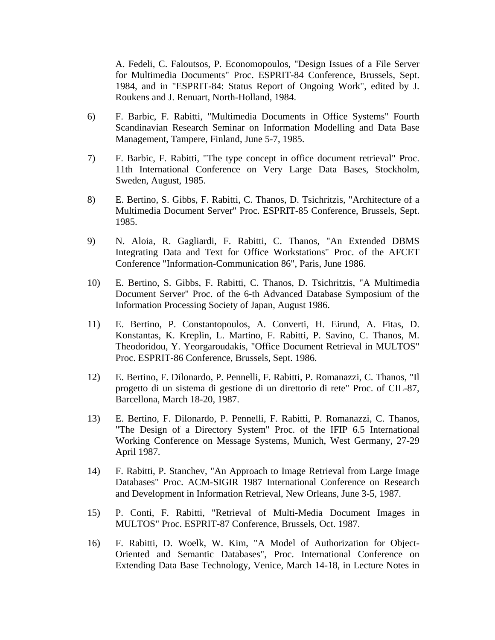A. Fedeli, C. Faloutsos, P. Economopoulos, "Design Issues of a File Server for Multimedia Documents" Proc. ESPRIT-84 Conference, Brussels, Sept. 1984, and in "ESPRIT-84: Status Report of Ongoing Work", edited by J. Roukens and J. Renuart, North-Holland, 1984.

- 6) F. Barbic, F. Rabitti, "Multimedia Documents in Office Systems" Fourth Scandinavian Research Seminar on Information Modelling and Data Base Management, Tampere, Finland, June 5-7, 1985.
- 7) F. Barbic, F. Rabitti, "The type concept in office document retrieval" Proc. 11th International Conference on Very Large Data Bases, Stockholm, Sweden, August, 1985.
- 8) E. Bertino, S. Gibbs, F. Rabitti, C. Thanos, D. Tsichritzis, "Architecture of a Multimedia Document Server" Proc. ESPRIT-85 Conference, Brussels, Sept. 1985.
- 9) N. Aloia, R. Gagliardi, F. Rabitti, C. Thanos, "An Extended DBMS Integrating Data and Text for Office Workstations" Proc. of the AFCET Conference "Information-Communication 86", Paris, June 1986.
- 10) E. Bertino, S. Gibbs, F. Rabitti, C. Thanos, D. Tsichritzis, "A Multimedia Document Server" Proc. of the 6-th Advanced Database Symposium of the Information Processing Society of Japan, August 1986.
- 11) E. Bertino, P. Constantopoulos, A. Converti, H. Eirund, A. Fitas, D. Konstantas, K. Kreplin, L. Martino, F. Rabitti, P. Savino, C. Thanos, M. Theodoridou, Y. Yeorgaroudakis, "Office Document Retrieval in MULTOS" Proc. ESPRIT-86 Conference, Brussels, Sept. 1986.
- 12) E. Bertino, F. Dilonardo, P. Pennelli, F. Rabitti, P. Romanazzi, C. Thanos, "Il progetto di un sistema di gestione di un direttorio di rete" Proc. of CIL-87, Barcellona, March 18-20, 1987.
- 13) E. Bertino, F. Dilonardo, P. Pennelli, F. Rabitti, P. Romanazzi, C. Thanos, "The Design of a Directory System" Proc. of the IFIP 6.5 International Working Conference on Message Systems, Munich, West Germany, 27-29 April 1987.
- 14) F. Rabitti, P. Stanchev, "An Approach to Image Retrieval from Large Image Databases" Proc. ACM-SIGIR 1987 International Conference on Research and Development in Information Retrieval, New Orleans, June 3-5, 1987.
- 15) P. Conti, F. Rabitti, "Retrieval of Multi-Media Document Images in MULTOS" Proc. ESPRIT-87 Conference, Brussels, Oct. 1987.
- 16) F. Rabitti, D. Woelk, W. Kim, "A Model of Authorization for Object-Oriented and Semantic Databases", Proc. International Conference on Extending Data Base Technology, Venice, March 14-18, in Lecture Notes in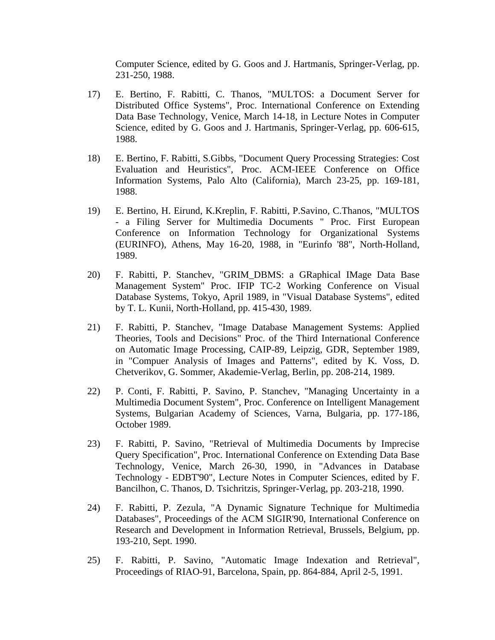Computer Science, edited by G. Goos and J. Hartmanis, Springer-Verlag, pp. 231-250, 1988.

- 17) E. Bertino, F. Rabitti, C. Thanos, "MULTOS: a Document Server for Distributed Office Systems", Proc. International Conference on Extending Data Base Technology, Venice, March 14-18, in Lecture Notes in Computer Science, edited by G. Goos and J. Hartmanis, Springer-Verlag, pp. 606-615, 1988.
- 18) E. Bertino, F. Rabitti, S.Gibbs, "Document Query Processing Strategies: Cost Evaluation and Heuristics", Proc. ACM-IEEE Conference on Office Information Systems, Palo Alto (California), March 23-25, pp. 169-181, 1988.
- 19) E. Bertino, H. Eirund, K.Kreplin, F. Rabitti, P.Savino, C.Thanos, "MULTOS - a Filing Server for Multimedia Documents " Proc. First European Conference on Information Technology for Organizational Systems (EURINFO), Athens, May 16-20, 1988, in "Eurinfo '88", North-Holland, 1989.
- 20) F. Rabitti, P. Stanchev, "GRIM\_DBMS: a GRaphical IMage Data Base Management System" Proc. IFIP TC-2 Working Conference on Visual Database Systems, Tokyo, April 1989, in "Visual Database Systems", edited by T. L. Kunii, North-Holland, pp. 415-430, 1989.
- 21) F. Rabitti, P. Stanchev, "Image Database Management Systems: Applied Theories, Tools and Decisions" Proc. of the Third International Conference on Automatic Image Processing, CAIP-89, Leipzig, GDR, September 1989, in "Compuer Analysis of Images and Patterns", edited by K. Voss, D. Chetverikov, G. Sommer, Akademie-Verlag, Berlin, pp. 208-214, 1989.
- 22) P. Conti, F. Rabitti, P. Savino, P. Stanchev, "Managing Uncertainty in a Multimedia Document System", Proc. Conference on Intelligent Management Systems, Bulgarian Academy of Sciences, Varna, Bulgaria, pp. 177-186, October 1989.
- 23) F. Rabitti, P. Savino, "Retrieval of Multimedia Documents by Imprecise Query Specification", Proc. International Conference on Extending Data Base Technology, Venice, March 26-30, 1990, in "Advances in Database Technology - EDBT'90", Lecture Notes in Computer Sciences, edited by F. Bancilhon, C. Thanos, D. Tsichritzis, Springer-Verlag, pp. 203-218, 1990.
- 24) F. Rabitti, P. Zezula, "A Dynamic Signature Technique for Multimedia Databases", Proceedings of the ACM SIGIR'90, International Conference on Research and Development in Information Retrieval, Brussels, Belgium, pp. 193-210, Sept. 1990.
- 25) F. Rabitti, P. Savino, "Automatic Image Indexation and Retrieval", Proceedings of RIAO-91, Barcelona, Spain, pp. 864-884, April 2-5, 1991.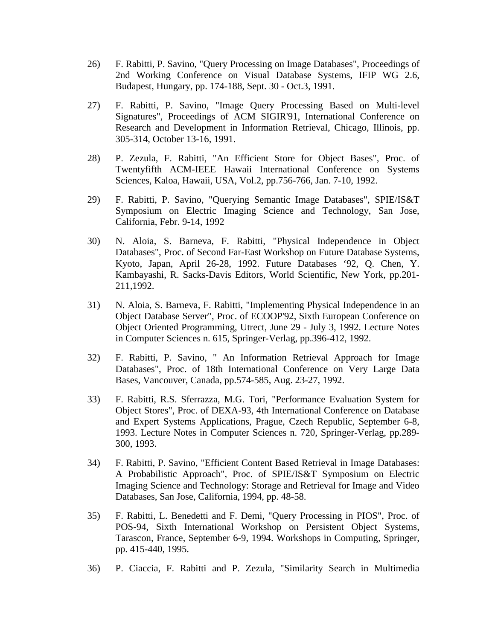- 26) F. Rabitti, P. Savino, "Query Processing on Image Databases", Proceedings of 2nd Working Conference on Visual Database Systems, IFIP WG 2.6, Budapest, Hungary, pp. 174-188, Sept. 30 - Oct.3, 1991.
- 27) F. Rabitti, P. Savino, "Image Query Processing Based on Multi-level Signatures", Proceedings of ACM SIGIR'91, International Conference on Research and Development in Information Retrieval, Chicago, Illinois, pp. 305-314, October 13-16, 1991.
- 28) P. Zezula, F. Rabitti, "An Efficient Store for Object Bases", Proc. of Twentyfifth ACM-IEEE Hawaii International Conference on Systems Sciences, Kaloa, Hawaii, USA, Vol.2, pp.756-766, Jan. 7-10, 1992.
- 29) F. Rabitti, P. Savino, "Querying Semantic Image Databases", SPIE/IS&T Symposium on Electric Imaging Science and Technology, San Jose, California, Febr. 9-14, 1992
- 30) N. Aloia, S. Barneva, F. Rabitti, "Physical Independence in Object Databases", Proc. of Second Far-East Workshop on Future Database Systems, Kyoto, Japan, April 26-28, 1992. Future Databases '92, Q. Chen, Y. Kambayashi, R. Sacks-Davis Editors, World Scientific, New York, pp.201- 211,1992.
- 31) N. Aloia, S. Barneva, F. Rabitti, "Implementing Physical Independence in an Object Database Server", Proc. of ECOOP'92, Sixth European Conference on Object Oriented Programming, Utrect, June 29 - July 3, 1992. Lecture Notes in Computer Sciences n. 615, Springer-Verlag, pp.396-412, 1992.
- 32) F. Rabitti, P. Savino, " An Information Retrieval Approach for Image Databases", Proc. of 18th International Conference on Very Large Data Bases, Vancouver, Canada, pp.574-585, Aug. 23-27, 1992.
- 33) F. Rabitti, R.S. Sferrazza, M.G. Tori, "Performance Evaluation System for Object Stores", Proc. of DEXA-93, 4th International Conference on Database and Expert Systems Applications, Prague, Czech Republic, September 6-8, 1993. Lecture Notes in Computer Sciences n. 720, Springer-Verlag, pp.289- 300, 1993.
- 34) F. Rabitti, P. Savino, "Efficient Content Based Retrieval in Image Databases: A Probabilistic Approach", Proc. of SPIE/IS&T Symposium on Electric Imaging Science and Technology: Storage and Retrieval for Image and Video Databases, San Jose, California, 1994, pp. 48-58.
- 35) F. Rabitti, L. Benedetti and F. Demi, "Query Processing in PIOS", Proc. of POS-94, Sixth International Workshop on Persistent Object Systems, Tarascon, France, September 6-9, 1994. Workshops in Computing, Springer, pp. 415-440, 1995.
- 36) P. Ciaccia, F. Rabitti and P. Zezula, "Similarity Search in Multimedia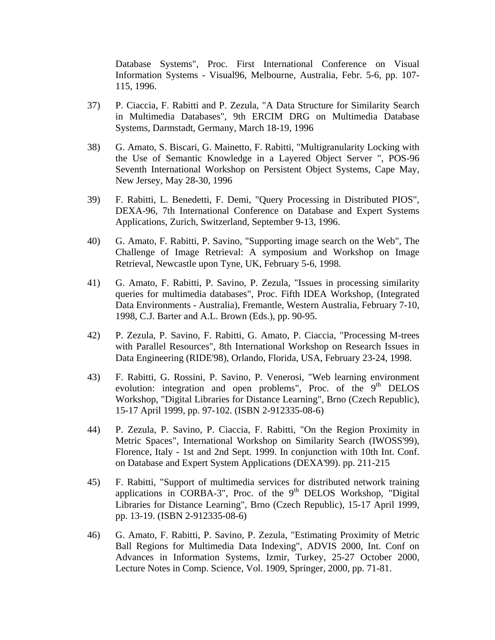Database Systems", Proc. First International Conference on Visual Information Systems - Visual96, Melbourne, Australia, Febr. 5-6, pp. 107- 115, 1996.

- 37) P. Ciaccia, F. Rabitti and P. Zezula, "A Data Structure for Similarity Search in Multimedia Databases", 9th ERCIM DRG on Multimedia Database Systems, Darmstadt, Germany, March 18-19, 1996
- 38) G. Amato, S. Biscari, G. Mainetto, F. Rabitti, "Multigranularity Locking with the Use of Semantic Knowledge in a Layered Object Server ", POS-96 Seventh International Workshop on Persistent Object Systems, Cape May, New Jersey, May 28-30, 1996
- 39) F. Rabitti, L. Benedetti, F. Demi, "Query Processing in Distributed PIOS", DEXA-96, 7th International Conference on Database and Expert Systems Applications, Zurich, Switzerland, September 9-13, 1996.
- 40) G. Amato, F. Rabitti, P. Savino, "Supporting image search on the Web", The Challenge of Image Retrieval: A symposium and Workshop on Image Retrieval, Newcastle upon Tyne, UK, February 5-6, 1998.
- 41) G. Amato, F. Rabitti, P. Savino, P. Zezula, "Issues in processing similarity queries for multimedia databases", Proc. Fifth IDEA Workshop, (Integrated Data Environments - Australia), Fremantle, Western Australia, February 7-10, 1998, C.J. Barter and A.L. Brown (Eds.), pp. 90-95.
- 42) P. Zezula, P. Savino, F. Rabitti, G. Amato, P. Ciaccia, "Processing M-trees with Parallel Resources", 8th International Workshop on Research Issues in Data Engineering (RIDE'98), Orlando, Florida, USA, February 23-24, 1998.
- 43) F. Rabitti, G. Rossini, P. Savino, P. Venerosi, "Web learning environment evolution: integration and open problems", Proc. of the  $9<sup>th</sup>$  DELOS Workshop, "Digital Libraries for Distance Learning", Brno (Czech Republic), 15-17 April 1999, pp. 97-102. (ISBN 2-912335-08-6)
- 44) P. Zezula, P. Savino, P. Ciaccia, F. Rabitti, "On the Region Proximity in Metric Spaces", International Workshop on Similarity Search (IWOSS'99), Florence, Italy - 1st and 2nd Sept. 1999. In conjunction with 10th Int. Conf. on Database and Expert System Applications (DEXA'99). pp. 211-215
- 45) F. Rabitti, "Support of multimedia services for distributed network training applications in CORBA-3", Proc. of the 9<sup>th</sup> DELOS Workshop, "Digital Libraries for Distance Learning", Brno (Czech Republic), 15-17 April 1999, pp. 13-19. (ISBN 2-912335-08-6)
- 46) G. Amato, F. Rabitti, P. Savino, P. Zezula, "Estimating Proximity of Metric Ball Regions for Multimedia Data Indexing", ADVIS 2000, Int. Conf on Advances in Information Systems, Izmir, Turkey, 25-27 October 2000, Lecture Notes in Comp. Science, Vol. 1909, Springer, 2000, pp. 71-81.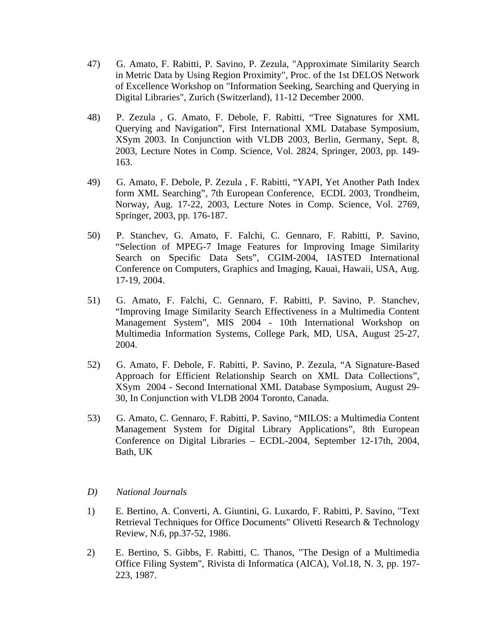- 47) G. Amato, F. Rabitti, P. Savino, P. Zezula, "Approximate Similarity Search in Metric Data by Using Region Proximity", Proc. of the 1st DELOS Network of Excellence Workshop on "Information Seeking, Searching and Querying in Digital Libraries", Zurich (Switzerland), 11-12 December 2000.
- 48) P. Zezula , G. Amato, F. Debole, F. Rabitti, "Tree Signatures for XML Querying and Navigation", First International XML Database Symposium, XSym 2003. In Conjunction with VLDB 2003, Berlin, Germany, Sept. 8, 2003, Lecture Notes in Comp. Science, Vol. 2824, Springer, 2003, pp. 149- 163.
- 49) G. Amato, F. Debole, P. Zezula , F. Rabitti, "YAPI, Yet Another Path Index form XML Searching", 7th European Conference, ECDL 2003, Trondheim, Norway, Aug. 17-22, 2003, Lecture Notes in Comp. Science, Vol. 2769, Springer, 2003, pp. 176-187.
- 50) P. Stanchev, G. Amato, F. Falchi, C. Gennaro, F. Rabitti, P. Savino, "Selection of MPEG-7 Image Features for Improving Image Similarity Search on Specific Data Sets", CGIM-2004, IASTED International Conference on Computers, Graphics and Imaging, Kauai, Hawaii, USA, Aug. 17-19, 2004.
- 51) G. Amato, F. Falchi, C. Gennaro, F. Rabitti, P. Savino, P. Stanchev, "Improving Image Similarity Search Effectiveness in a Multimedia Content Management System", MIS 2004 - 10th International Workshop on Multimedia Information Systems, College Park, MD, USA, August 25-27, 2004.
- 52) G. Amato, F. Debole, F. Rabitti, P. Savino, P. Zezula, "A Signature-Based Approach for Efficient Relationship Search on XML Data Collections", XSym 2004 - Second International XML Database Symposium, August 29- 30, In Conjunction with VLDB 2004 Toronto, Canada.
- 53) G. Amato, C. Gennaro, F. Rabitti, P. Savino, "MILOS: a Multimedia Content Management System for Digital Library Applications", 8th European Conference on Digital Libraries – ECDL-2004, September 12-17th, 2004, Bath, UK
- *D) National Journals*
- 1) E. Bertino, A. Converti, A. Giuntini, G. Luxardo, F. Rabitti, P. Savino, "Text Retrieval Techniques for Office Documents" Olivetti Research & Technology Review, N.6, pp.37-52, 1986.
- 2) E. Bertino, S. Gibbs, F. Rabitti, C. Thanos, "The Design of a Multimedia Office Filing System", Rivista di Informatica (AICA), Vol.18, N. 3, pp. 197- 223, 1987.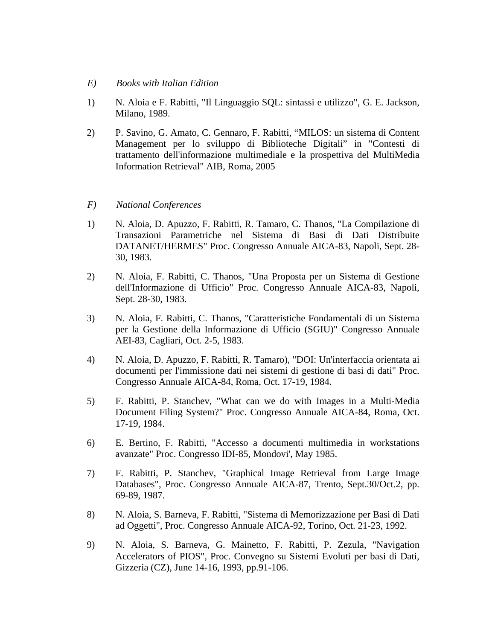- *E) Books with Italian Edition*
- 1) N. Aloia e F. Rabitti, "Il Linguaggio SQL: sintassi e utilizzo", G. E. Jackson, Milano, 1989.
- 2) P. Savino, G. Amato, C. Gennaro, F. Rabitti, "MILOS: un sistema di Content Management per lo sviluppo di Biblioteche Digitali" in "Contesti di trattamento dell'informazione multimediale e la prospettiva del MultiMedia Information Retrieval" AIB, Roma, 2005

## *F) National Conferences*

- 1) N. Aloia, D. Apuzzo, F. Rabitti, R. Tamaro, C. Thanos, "La Compilazione di Transazioni Parametriche nel Sistema di Basi di Dati Distribuite DATANET/HERMES" Proc. Congresso Annuale AICA-83, Napoli, Sept. 28- 30, 1983.
- 2) N. Aloia, F. Rabitti, C. Thanos, "Una Proposta per un Sistema di Gestione dell'Informazione di Ufficio" Proc. Congresso Annuale AICA-83, Napoli, Sept. 28-30, 1983.
- 3) N. Aloia, F. Rabitti, C. Thanos, "Caratteristiche Fondamentali di un Sistema per la Gestione della Informazione di Ufficio (SGIU)" Congresso Annuale AEI-83, Cagliari, Oct. 2-5, 1983.
- 4) N. Aloia, D. Apuzzo, F. Rabitti, R. Tamaro), "DOI: Un'interfaccia orientata ai documenti per l'immissione dati nei sistemi di gestione di basi di dati" Proc. Congresso Annuale AICA-84, Roma, Oct. 17-19, 1984.
- 5) F. Rabitti, P. Stanchev, "What can we do with Images in a Multi-Media Document Filing System?" Proc. Congresso Annuale AICA-84, Roma, Oct. 17-19, 1984.
- 6) E. Bertino, F. Rabitti, "Accesso a documenti multimedia in workstations avanzate" Proc. Congresso IDI-85, Mondovi', May 1985.
- 7) F. Rabitti, P. Stanchev, "Graphical Image Retrieval from Large Image Databases", Proc. Congresso Annuale AICA-87, Trento, Sept.30/Oct.2, pp. 69-89, 1987.
- 8) N. Aloia, S. Barneva, F. Rabitti, "Sistema di Memorizzazione per Basi di Dati ad Oggetti", Proc. Congresso Annuale AICA-92, Torino, Oct. 21-23, 1992.
- 9) N. Aloia, S. Barneva, G. Mainetto, F. Rabitti, P. Zezula, "Navigation Accelerators of PIOS", Proc. Convegno su Sistemi Evoluti per basi di Dati, Gizzeria (CZ), June 14-16, 1993, pp.91-106.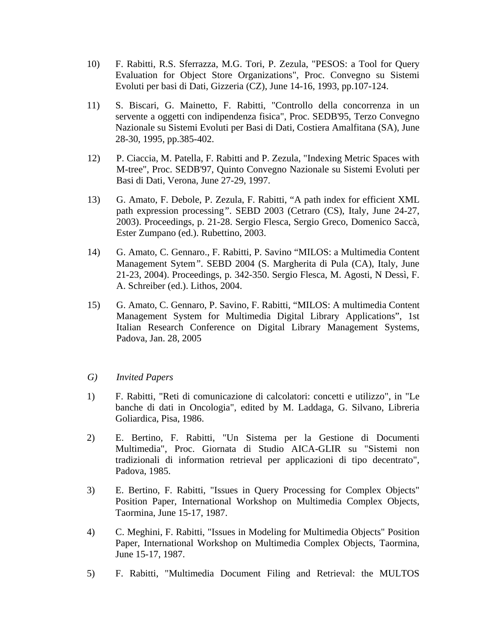- 10) F. Rabitti, R.S. Sferrazza, M.G. Tori, P. Zezula, "PESOS: a Tool for Query Evaluation for Object Store Organizations", Proc. Convegno su Sistemi Evoluti per basi di Dati, Gizzeria (CZ), June 14-16, 1993, pp.107-124.
- 11) S. Biscari, G. Mainetto, F. Rabitti, "Controllo della concorrenza in un servente a oggetti con indipendenza fisica", Proc. SEDB'95, Terzo Convegno Nazionale su Sistemi Evoluti per Basi di Dati, Costiera Amalfitana (SA), June 28-30, 1995, pp.385-402.
- 12) P. Ciaccia, M. Patella, F. Rabitti and P. Zezula, "Indexing Metric Spaces with M-tree", Proc. SEDB'97, Quinto Convegno Nazionale su Sistemi Evoluti per Basi di Dati, Verona, June 27-29, 1997.
- 13) G. Amato, F. Debole, P. Zezula, F. Rabitti, "A path index for efficient XML path expression processing*"*. SEBD 2003 (Cetraro (CS), Italy, June 24-27, 2003). Proceedings, p. 21-28. Sergio Flesca, Sergio Greco, Domenico Saccà, Ester Zumpano (ed.). Rubettino, 2003.
- 14) G. Amato, C. Gennaro., F. Rabitti, P. Savino "MILOS: a Multimedia Content Management Sytem*"*. SEBD 2004 (S. Margherita di Pula (CA), Italy, June 21-23, 2004). Proceedings, p. 342-350. Sergio Flesca, M. Agosti, N Dessì, F. A. Schreiber (ed.). Lithos, 2004.
- 15) G. Amato, C. Gennaro, P. Savino, F. Rabitti, "MILOS: A multimedia Content Management System for Multimedia Digital Library Applications", 1st Italian Research Conference on Digital Library Management Systems, Padova, Jan. 28, 2005
- *G) Invited Papers*
- 1) F. Rabitti, "Reti di comunicazione di calcolatori: concetti e utilizzo", in "Le banche di dati in Oncologia", edited by M. Laddaga, G. Silvano, Libreria Goliardica, Pisa, 1986.
- 2) E. Bertino, F. Rabitti, "Un Sistema per la Gestione di Documenti Multimedia", Proc. Giornata di Studio AICA-GLIR su "Sistemi non tradizionali di information retrieval per applicazioni di tipo decentrato", Padova, 1985.
- 3) E. Bertino, F. Rabitti, "Issues in Query Processing for Complex Objects" Position Paper, International Workshop on Multimedia Complex Objects, Taormina, June 15-17, 1987.
- 4) C. Meghini, F. Rabitti, "Issues in Modeling for Multimedia Objects" Position Paper, International Workshop on Multimedia Complex Objects, Taormina, June 15-17, 1987.
- 5) F. Rabitti, "Multimedia Document Filing and Retrieval: the MULTOS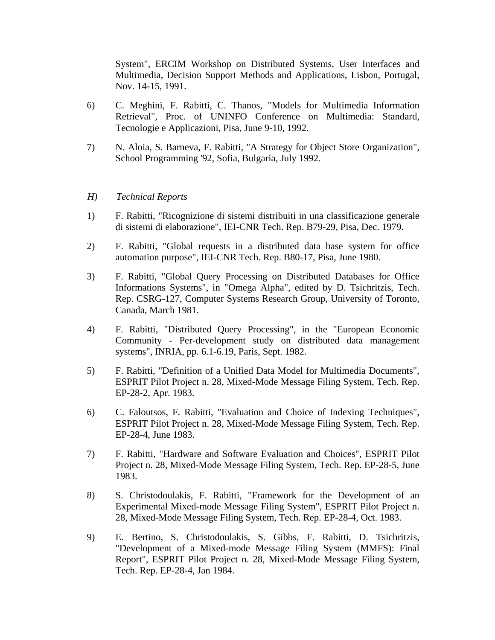System", ERCIM Workshop on Distributed Systems, User Interfaces and Multimedia, Decision Support Methods and Applications, Lisbon, Portugal, Nov. 14-15, 1991.

- 6) C. Meghini, F. Rabitti, C. Thanos, "Models for Multimedia Information Retrieval", Proc. of UNINFO Conference on Multimedia: Standard, Tecnologie e Applicazioni, Pisa, June 9-10, 1992.
- 7) N. Aloia, S. Barneva, F. Rabitti, "A Strategy for Object Store Organization", School Programming '92, Sofia, Bulgaria, July 1992.

# *H) Technical Reports*

- 1) F. Rabitti, "Ricognizione di sistemi distribuiti in una classificazione generale di sistemi di elaborazione", IEI-CNR Tech. Rep. B79-29, Pisa, Dec. 1979.
- 2) F. Rabitti, "Global requests in a distributed data base system for office automation purpose", IEI-CNR Tech. Rep. B80-17, Pisa, June 1980.
- 3) F. Rabitti, "Global Query Processing on Distributed Databases for Office Informations Systems", in "Omega Alpha", edited by D. Tsichritzis, Tech. Rep. CSRG-127, Computer Systems Research Group, University of Toronto, Canada, March 1981.
- 4) F. Rabitti, "Distributed Query Processing", in the "European Economic Community - Per-development study on distributed data management systems", INRIA, pp. 6.1-6.19, Paris, Sept. 1982.
- 5) F. Rabitti, "Definition of a Unified Data Model for Multimedia Documents", ESPRIT Pilot Project n. 28, Mixed-Mode Message Filing System, Tech. Rep. EP-28-2, Apr. 1983.
- 6) C. Faloutsos, F. Rabitti, "Evaluation and Choice of Indexing Techniques", ESPRIT Pilot Project n. 28, Mixed-Mode Message Filing System, Tech. Rep. EP-28-4, June 1983.
- 7) F. Rabitti, "Hardware and Software Evaluation and Choices", ESPRIT Pilot Project n. 28, Mixed-Mode Message Filing System, Tech. Rep. EP-28-5, June 1983.
- 8) S. Christodoulakis, F. Rabitti, "Framework for the Development of an Experimental Mixed-mode Message Filing System", ESPRIT Pilot Project n. 28, Mixed-Mode Message Filing System, Tech. Rep. EP-28-4, Oct. 1983.
- 9) E. Bertino, S. Christodoulakis, S. Gibbs, F. Rabitti, D. Tsichritzis, "Development of a Mixed-mode Message Filing System (MMFS): Final Report", ESPRIT Pilot Project n. 28, Mixed-Mode Message Filing System, Tech. Rep. EP-28-4, Jan 1984.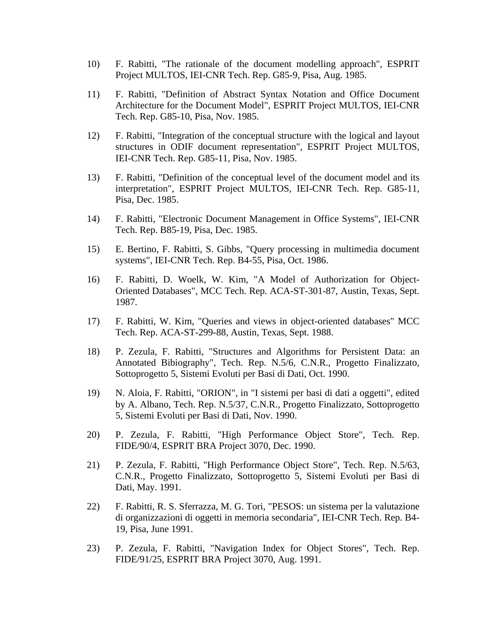- 10) F. Rabitti, "The rationale of the document modelling approach", ESPRIT Project MULTOS, IEI-CNR Tech. Rep. G85-9, Pisa, Aug. 1985.
- 11) F. Rabitti, "Definition of Abstract Syntax Notation and Office Document Architecture for the Document Model", ESPRIT Project MULTOS, IEI-CNR Tech. Rep. G85-10, Pisa, Nov. 1985.
- 12) F. Rabitti, "Integration of the conceptual structure with the logical and layout structures in ODIF document representation", ESPRIT Project MULTOS, IEI-CNR Tech. Rep. G85-11, Pisa, Nov. 1985.
- 13) F. Rabitti, "Definition of the conceptual level of the document model and its interpretation", ESPRIT Project MULTOS, IEI-CNR Tech. Rep. G85-11, Pisa, Dec. 1985.
- 14) F. Rabitti, "Electronic Document Management in Office Systems", IEI-CNR Tech. Rep. B85-19, Pisa, Dec. 1985.
- 15) E. Bertino, F. Rabitti, S. Gibbs, "Query processing in multimedia document systems", IEI-CNR Tech. Rep. B4-55, Pisa, Oct. 1986.
- 16) F. Rabitti, D. Woelk, W. Kim, "A Model of Authorization for Object-Oriented Databases", MCC Tech. Rep. ACA-ST-301-87, Austin, Texas, Sept. 1987.
- 17) F. Rabitti, W. Kim, "Queries and views in object-oriented databases" MCC Tech. Rep. ACA-ST-299-88, Austin, Texas, Sept. 1988.
- 18) P. Zezula, F. Rabitti, "Structures and Algorithms for Persistent Data: an Annotated Bibiography", Tech. Rep. N.5/6, C.N.R., Progetto Finalizzato, Sottoprogetto 5, Sistemi Evoluti per Basi di Dati, Oct. 1990.
- 19) N. Aloia, F. Rabitti, "ORION", in "I sistemi per basi di dati a oggetti", edited by A. Albano, Tech. Rep. N.5/37, C.N.R., Progetto Finalizzato, Sottoprogetto 5, Sistemi Evoluti per Basi di Dati, Nov. 1990.
- 20) P. Zezula, F. Rabitti, "High Performance Object Store", Tech. Rep. FIDE/90/4, ESPRIT BRA Project 3070, Dec. 1990.
- 21) P. Zezula, F. Rabitti, "High Performance Object Store", Tech. Rep. N.5/63, C.N.R., Progetto Finalizzato, Sottoprogetto 5, Sistemi Evoluti per Basi di Dati, May. 1991.
- 22) F. Rabitti, R. S. Sferrazza, M. G. Tori, "PESOS: un sistema per la valutazione di organizzazioni di oggetti in memoria secondaria", IEI-CNR Tech. Rep. B4- 19, Pisa, June 1991.
- 23) P. Zezula, F. Rabitti, "Navigation Index for Object Stores", Tech. Rep. FIDE/91/25, ESPRIT BRA Project 3070, Aug. 1991.